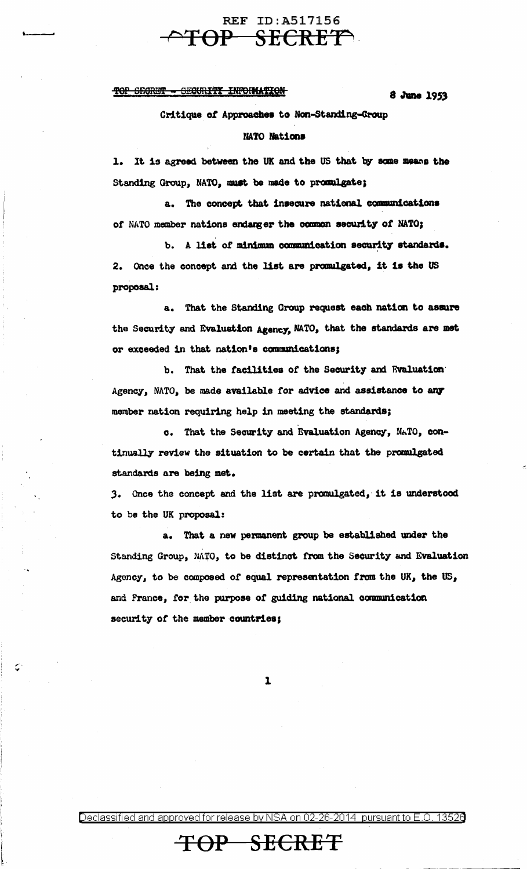### **REF ID: A517156** TOP SECRET

#### TOP SEGRET - SECURITY INFORMATION

8 June 1953

Critique of Approaches to Non-Standing-Group NATO Nations

1. It is agreed between the UK and the US that by some means the Standing Group, NATO, must be made to promulgate;

a. The concept that insecure national communications of NATO member nations endanger the common security of NATO;

b. A list of minimum communication security standards. Once the concept and the list are promulgated, it is the US  $2.$ proposal:

a. That the Standing Group request each nation to assure the Security and Evaluation Agency, NATO, that the standards are met or exceeded in that nation's communications;

b. That the facilities of the Security and Evaluation Agency, NATO, be made available for advice and assistance to any member nation requiring help in meeting the standards;

c. That the Security and Evaluation Agency, NATO, continually review the situation to be certain that the promulgated standards are being met.

3. Once the concept and the list are promulgated, it is understood to be the UK proposal:

a. That a new permanent group be established under the Standing Group, NATO, to be distinct from the Security and Evaluation Agency, to be composed of equal representation from the UK, the US, and France, for the purpose of guiding national communication security of the member countries;

 $\mathbf{1}$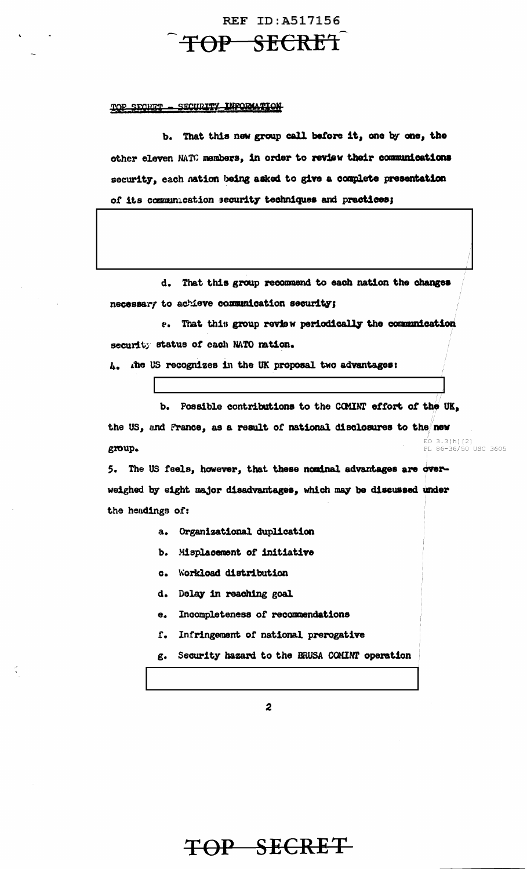# TOP SECRET

**REF ID: A517156** 

#### TOP SECRET - SECURITY INFORMATION

b. That this new group call before it, one by one, the other eleven NATC members, in order to review their communications security, each nation being asked to give a complete presentation of its communication security techniques and practices;

d. That this group recommend to each nation the changes necessary to achieve communication security;

e. That this group review periodically the communication security status of each NATO nation.

4. The US recognizes in the UK proposal two advantages:

b. Possible contributions to the COMINT effort of the UK, the US, and France, as a result of national disclosures to the new  $EO$  3.3(h)(2) group. PL 86-36/50 USC 3605

5. The US feels, however, that these nominal advantages are overweighed by eight major disadvantages, which may be discussed under the hendings of:

- a. Organizational duplication
- b. Misplacement of initiative
- c. Workload distribution
- d. Delay in reaching goal
- $\mathbf{e}_{\bullet}$ Incompleteness of recommendations
- Infringement of national prerogative  ${\bf f}$ .
- g. Security hazard to the BRUSA COMINT operation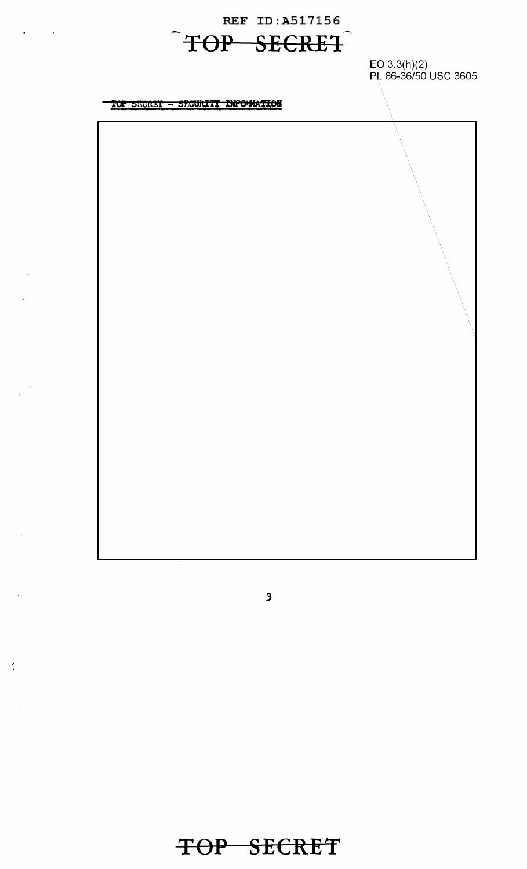REF ID:A517156 **TOP SECRE1** 

EO 3.3(h)(2) PL 86-36/50 USC 3605

TOP SECRET - SECURITI INFORMATION

*3* 

 $\mathcal{L}$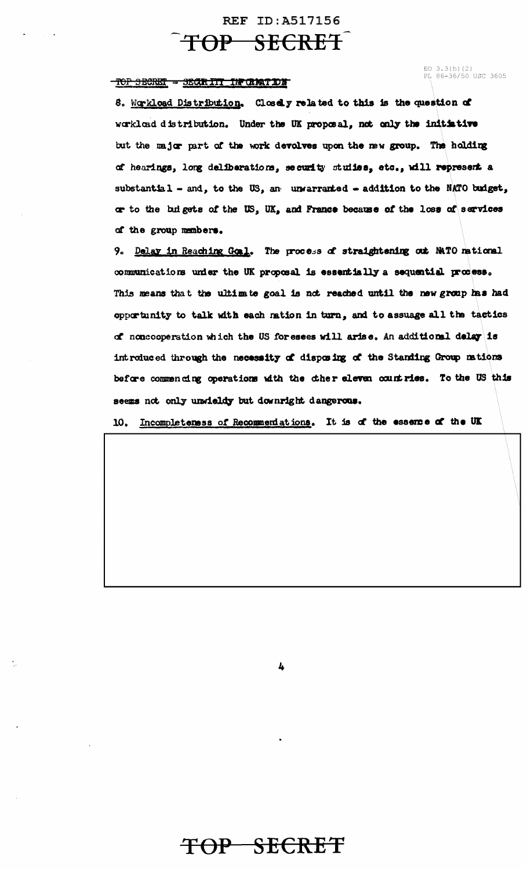### **REF ID: A517156**

### TOP SECRET

#### TOP SECRET = SECRITI IN GRATING

EO 3.3(h)(2)<br>PL 86-36/50 USC 3605

8. Workload Distribution. Closely related to this is the question of workload distribution. Under the UK proposal, not only the initiative but the major part of the work devolves upon the new group. The holding of hearings, long deliberations, security studies, etc., will represent a substantial - and, to the US, an unwarranted - addition to the NATO budget, or to the bulgets of the US, UK, and France because of the loss of services of the group members.

9. Delay in Reaching Goal. The process of straightening out NATO national communications under the UK proposal is essentially a sequential process. This means that the ultimate goal is not reached until the new group has had opportunity to talk with each ration in turn, and to assuage all the tactics of noncooperation which the US for esees will arise, An additional delay is introduced through the necessity of disposing of the Standing Group mations before commencing operations with the cher eleven countries. To the US this seems not only unwieldy but downright dangerous.

10. Incompleteness of Recommeniations. It is of the essence of the UK

4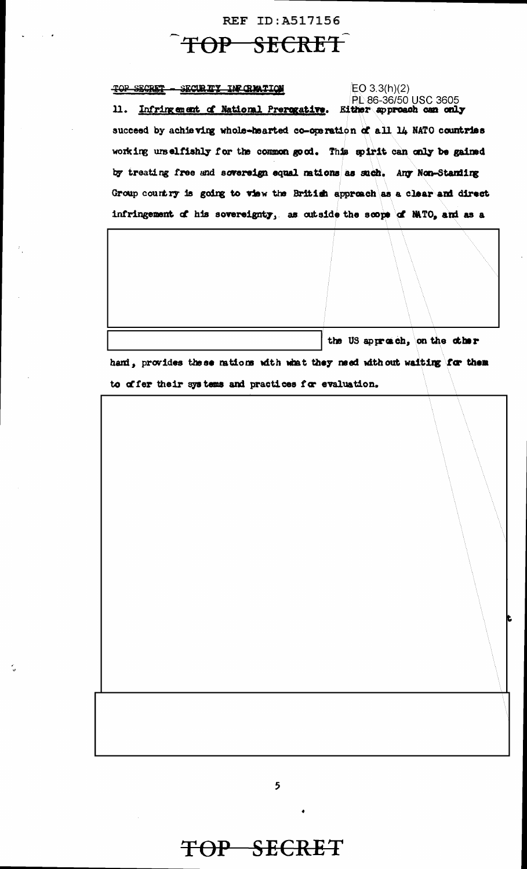### **REF ID: A517156**

## TOP SECRET

TOP SECRET - SECURITY INFORMATION  $EO 3.3(h)(2)$ **PL 86-36/50 USC 3605** 11. Infringement of National Prerogative. Either approach can only succeed by achieving whole-hearted co-operation of all 14 NATO countries working urselfishly for the common good. This spirit can only be gained by treating free and sovereign equal nations as such. Any Non-Standing Group country is going to view the British approach as a clear and direct infringement of his sovereignty, as outside the scope of MATO, and as a

the US approach, on the other

hand, provides these mations with what they need without waiting for them to offer their systems and practices for evaluation.

TOP SECRET

5